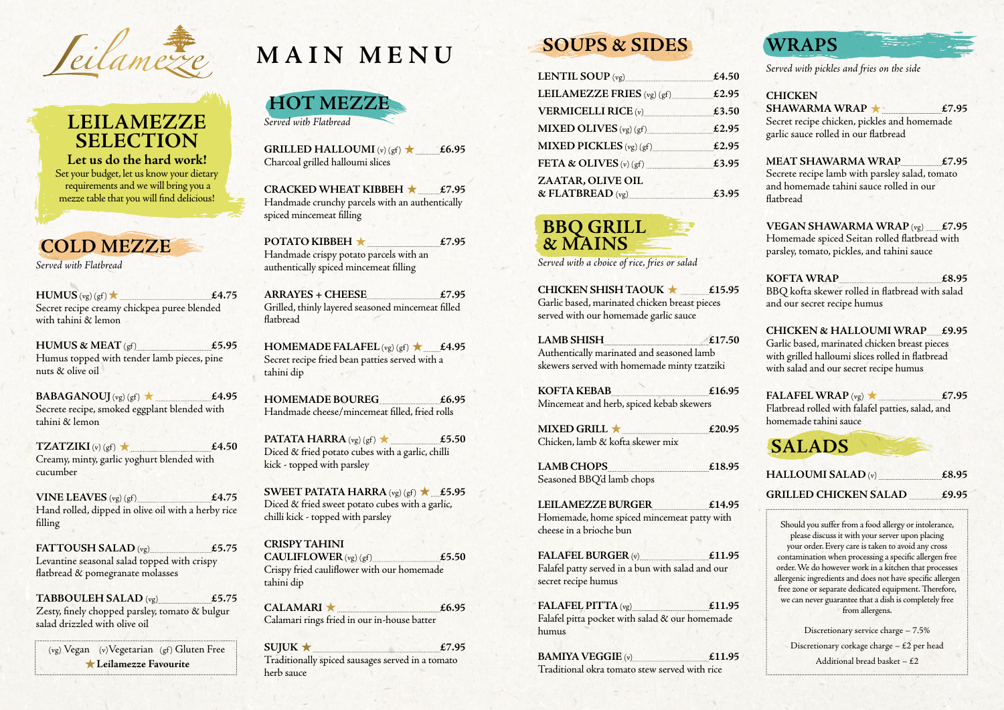Seilamezze

## **LEILAMEZZE SELECTION**

**Let us do the hard work!**  Set your budget, let us know your dietary requirements and we will bring you a mezze table that you will find delicious!

 $\text{HUMUS}$  (vg) (gf)  $\star$  **£4.75** Secret recipe creamy chickpea puree blended with tahini & lemon

### **COLD MEZZE**

**HUMUS & MEAT**  $(gf)$  **£5.95** Humus topped with tender lamb pieces, pine nuts & olive oil

*Served with Flatbread* 

**BABAGANOUJ**  $(vg)(gf)$  **£4.95** Secrete recipe, smoked eggplant blended with tahini & lemon

**TZATZIKI** (v) (gf)  $\star$  **£4.50** Creamy, minty, garlic yoghurt blended with cucumber

**VINE LEAVES**  $(vg)(gf)$   $f(4.75)$ Hand rolled, dipped in olive oil with a herby rice filling

(vg) Vegan (v) Vegetarian (gf) Gluten Free **Leilamezze Favourite**

**GRILLED HALLOUMI**  $(v)(gf) \star$  **£6.95** Charcoal grilled halloumi slices

**POTATO KIBBEH ★** £7.95 Handmade crispy potato parcels with an authentically spiced mincemeat filling

**FATTOUSH SALAD** (vg) **£5.75**  Levantine seasonal salad topped with crispy flatbread & pomegranate molasses

**HOMEMADE FALAFEL**  $(vg)(gf) \star$  **£4.95** Secret recipe fried bean patties served with a tahini dip

**PATATA HARRA** (vg) (gf)  $\star$  £5.50 Diced & fried potato cubes with a garlic, chilli kick - topped with parsley

**TABBOULEH SALAD** (vg) **£5.75**  Zesty, finely chopped parsley, tomato & bulgur salad drizzled with olive oil

**SWEET PATATA HARRA**  $(vg)(gf) \star$  £5.95 Diced & fried sweet potato cubes with a garlic, chilli kick - topped with parsley

CALAMARI ★ **£6.95** Calamari rings fried in our in-house batter



 $\text{SUIUK} \star \text{ } \qquad \text{£7.95}$ Traditionally spiced sausages served in a tomato herb sauce

**CRACKED WHEAT KIBBEH £7.95** Handmade crunchy parcels with an authentically spiced mincemeat filling

**ARRAYES + CHEESE £7.95** Grilled, thinly layered seasoned mincemeat filled flatbread

> **MIXED GRILL**  $\star$   $\qquad$  £20.95 Chicken, lamb & kofta skewer mix

**HOMEMADE BOUREG £6.95** Handmade cheese/mincemeat filled, fried rolls

SHAWARMA WRAP **\*** £7.95 Secret recipe chicken, pickles and homemade garlic sauce rolled in our flatbread

**CRISPY TAHINI**   $CAULIFLOWER (vg) (gf)$   $£5.50$ Crispy fried cauliflower with our homemade tahini dip

# **SOUPS & SIDES**

| LENTIL SOUP (vg)<br><u>and the communication of the communication</u> | £4.50 |
|-----------------------------------------------------------------------|-------|
| LEILAMEZZE FRIES (vg) (gf)                                            | £2.95 |
| <b>VERMICELLI RICE (v)</b>                                            | £3.50 |
| MIXED OLIVES $(vg)(gf)$                                               | £2.95 |
| MIXED PICKLES $(vg)(gf)$                                              | £2.95 |
| FETA & OLIVES $(v)$ $(gf)$                                            | £3.95 |
| ZAATAR, OLIVE OIL                                                     |       |
| & FLATBREAD (vg)                                                      | £3.95 |

Discretionary service charge – 7.5% Discretionary corkage charge – £2 per head Additional bread basket  $-$  £2

### **BBQ GRILL & MAINS**

*Served with a choice of rice, fries or salad* 

**CHICKEN SHISH TAOUK £15.95**  Garlic based, marinated chicken breast pieces served with our homemade garlic sauce

**LAMB SHISH £17.50** Authentically marinated and seasoned lamb skewers served with homemade minty tzatziki

**KOFTA KEBAB £16.95**  Mincemeat and herb, spiced kebab skewers

**LAMB CHOPS £18.95** Seasoned BBQ'd lamb chops

**LEILAMEZZE BURGER £14.95**  Homemade, home spiced mincemeat patty with cheese in a brioche bun

**FALAFEL BURGER** (v) **£11.95**  Falafel patty served in a bun with salad and our secret recipe humus

**FALAFEL PITTA** (vg) **£11.95** Falafel pitta pocket with salad & our homemade humus

**BAMIYA VEGGIE** (v) **£11.95**  Traditional okra tomato stew served with rice

## **WRAPS**

*Served with pickles and fries on the side*

### **CHICKEN**

#### **MEAT SHAWARMA WRAP £7.95** Secrete recipe lamb with parsley salad, tomato and homemade tahini sauce rolled in our flatbread

**VEGAN SHAWARMA WRAP** (vg) **£7.95** Homemade spiced Seitan rolled flatbread with parsley, tomato, pickles, and tahini sauce

#### **KOFTA WRAP £8.95**

BBQ kofta skewer rolled in flatbread with salad and our secret recipe humus

### **CHICKEN & HALLOUMI WRAP £9.95**

Garlic based, marinated chicken breast pieces with grilled halloumi slices rolled in flatbread with salad and our secret recipe humus

### **FALAFEL WRAP**  $(vg)$  **£7.95**

Flatbread rolled with falafel patties, salad, and homemade tahini sauce

## **SALADS**

| <b>HALLOUMI SALAD</b> $(v)$  | £8.95 |
|------------------------------|-------|
| <b>GRILLED CHICKEN SALAD</b> | £9.95 |

Should you suffer from a food allergy or intolerance, please discuss it with your server upon placing your order. Every care is taken to avoid any cross contamination when processing a specific allergen free order. We do however work in a kitchen that processes allergenic ingredients and does not have specific allergen free zone or separate dedicated equipment. Therefore, we can never guarantee that a dish is completely free from allergens.

# **MAIN MENU**